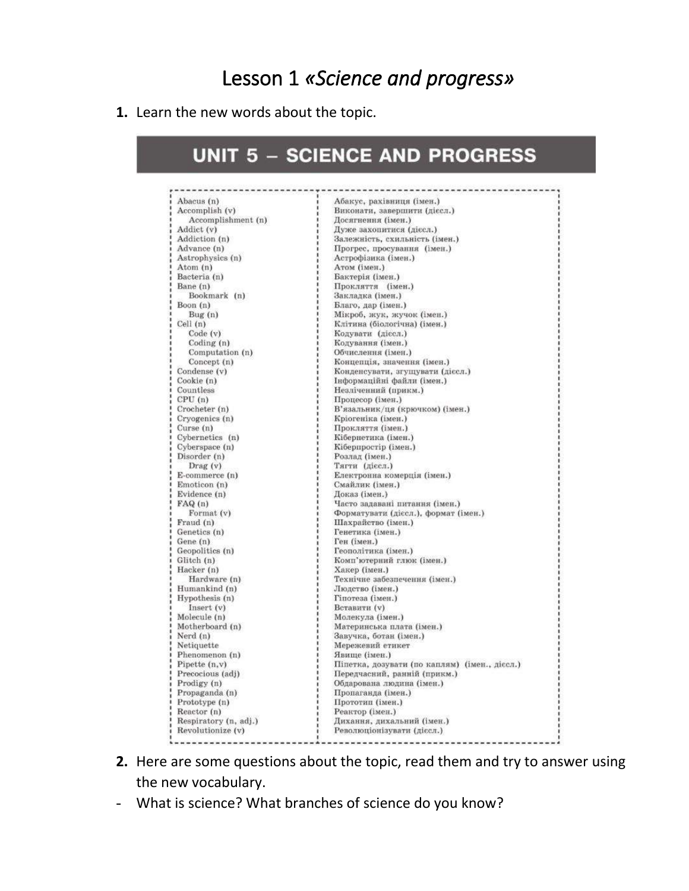# Lesson 1 *«Science and progress»*

#### **1.** Learn the new words about the topic.

## **UNIT 5 - SCIENCE AND PROGRESS**

| Abacus (n)            | Абакус, рахівниця (імен.)                     |
|-----------------------|-----------------------------------------------|
| Accomplish (v)        | Виконати, завершити (дієсл.)                  |
| Accomplishment (n)    | Досягнення (імен.)                            |
| Addict (v)            | Дуже захопитися (дієсл.)                      |
| Addiction (n)         | Залежність, схильність (імен.)                |
| Advance (n)           | Прогрес, просування (імен.)                   |
| Astrophysics (n)      | Астрофізика (імен.)                           |
| Atom (n)              | Атом (імен.)                                  |
| Bacteria (n)          | Бактерія (імен.)                              |
| Bane (n)              | Прокляття (імен.)                             |
| Bookmark (n)          | Закладка (імен.)                              |
| Boon (n)              | Благо, дар (імен.)                            |
| Bug(n)                | Мікроб, жук, жучок (імен.)                    |
| Cell (n)              | Клітина (біологічна) (імен.)                  |
| Code (v)              | Кодувати (дієсл.)                             |
| Coding $(n)$          | Кодування (імен.)                             |
| Computation (n)       | Обчислення (імен.)                            |
| Concept (n)           | Концепція, значення (імен.)                   |
| Condense (v)          | Конденсувати, згущувати (дієсл.)              |
| Cookie (n)            | Інформаційні файли (імен.)                    |
| Countless             | Незліченний (прикм.)                          |
| CPU(n)                | Процесор (імен.)                              |
| Crocheter (n)         | В'язальник/ця (крючком) (імен.)               |
| Cryogenics (n)        | Кріогеніка (імен.)                            |
| Curse (n)             | Прокляття (імен.)                             |
| Cybernetics (n)       | Кібернетика (імен.)                           |
| Cyberspace (n)        | Кіберпростір (імен.)                          |
| Disorder (n)          | Розлад (імен.)                                |
| $\text{ Drag}(v)$     | Тягти (дієсл.)                                |
| E-commerce (n)        | Електронна комерція (імен.)                   |
| Emoticon (n)          | Смайлик (імен.)                               |
| Evidence (n)          | Доказ (імен.)                                 |
| FAQ(n)                | Часто задавані питання (імен.)                |
| Format (v)            | Форматувати (дієсл.), формат (імен.)          |
| Fraud (n)             | Шахрайство (імен.)                            |
| Genetics (n)          | Генетика (імен.)                              |
| Gene(n)               | Ген (імен.)                                   |
| Geopolitics (n)       | Геополітика (імен.)                           |
| Glitch (n)            | Комп'ютерний глюк (імен.)                     |
| Hacker (n)            | Хакер (імен.)                                 |
| Hardware (n)          | Технічне забезпечення (імен.)                 |
| Humankind (n)         | Людство (імен.)                               |
| Hypothesis (n)        | Гіпотеза (імен.)                              |
| Insert(v)             | Вставити (v)                                  |
| Molecule (n)          | Молекула (імен.)                              |
| Motherboard (n)       | Материнська плата (імен.)                     |
| Nerd $(n)$            | Завучка, ботан (імен.)                        |
| Netiquette            | Мережевий етикет                              |
| Phenomenon (n)        | Явище (імен.)                                 |
| Pipette $(n, v)$      | Піпетка, дозувати (по каплям) (імен., дієсл.) |
| Precocious (adj)      | Передчасний, ранній (прикм.)                  |
| Prodigy (n)           | Обдарована людина (імен.)                     |
| Propaganda (n)        | Пропаганда (імен.)                            |
| Prototype (n)         | Прототип (імен.)                              |
| Reactor (n)           | Реактор (імен.)                               |
|                       | Дихання, дихальний (імен.)                    |
| Respiratory (n, adj.) | Революціонізувати (дієсл.)                    |
| Revolutionize (v)     |                                               |

- **2.** Here are some questions about the topic, read them and try to answer using the new vocabulary.
- What is science? What branches of science do you know?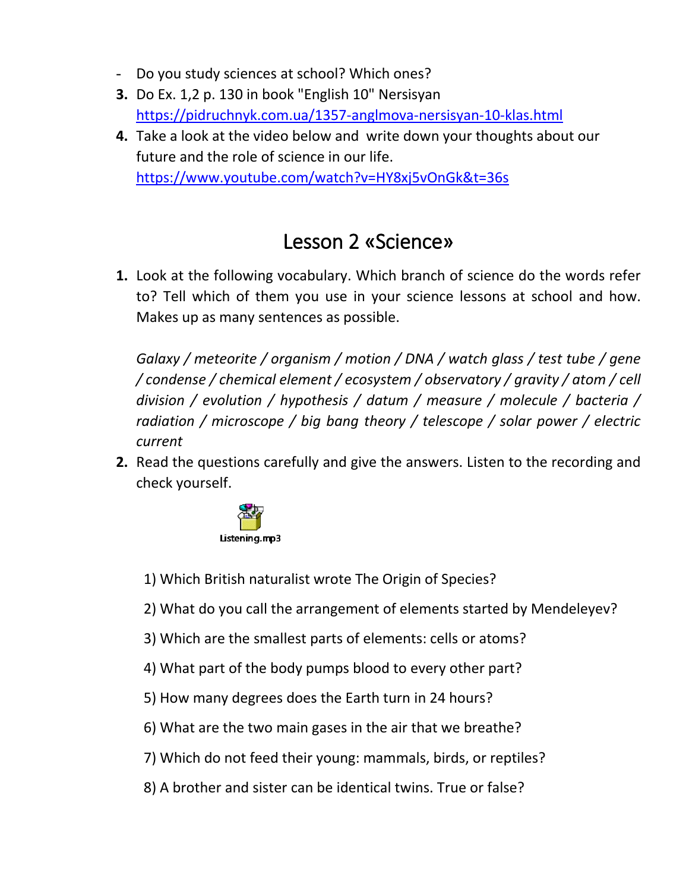- Do you study sciences at school? Which ones?
- **3.** Do Ex. 1,2 p. 130 in book "English 10" Nersisyan <https://pidruchnyk.com.ua/1357-anglmova-nersisyan-10-klas.html>
- **4.** Take a look at the video below and write down your thoughts about our future and the role of science in our life. <https://www.youtube.com/watch?v=HY8xj5vOnGk&t=36s>

# Lesson 2 «Science»

**1.** Look at the following vocabulary. Which branch of science do the words refer to? Tell which of them you use in your science lessons at school and how. Makes up as many sentences as possible.

*Galaxy / meteorite / organism / motion / DNA / watch glass / test tube / gene / condense / chemical element / ecosystem / observatory / gravity / atom / cell division / evolution / hypothesis / datum / measure / molecule / bacteria / radiation / microscope / big bang theory / telescope / solar power / electric current*

**2.** Read the questions carefully and give the answers. Listen to the recording and check yourself.



1) Which British naturalist wrote The Origin of Species?

2) What do you call the arrangement of elements started by Mendeleyev?

- 3) Which are the smallest parts of elements: cells or atoms?
- 4) What part of the body pumps blood to every other part?
- 5) How many degrees does the Earth turn in 24 hours?
- 6) What are the two main gases in the air that we breathe?
- 7) Which do not feed their young: mammals, birds, or reptiles?
- 8) A brother and sister can be identical twins. True or false?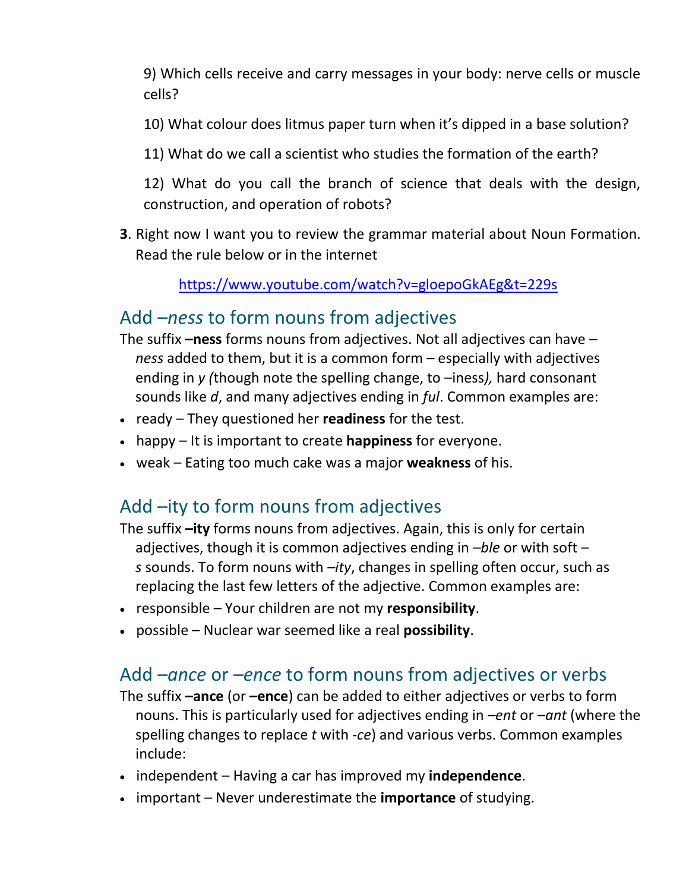9) Which cells receive and carry messages in your body: nerve cells or muscle cells?

- 10) What colour does litmus paper turn when it's dipped in a base solution?
- 11) What do we call a scientist who studies the formation of the earth?

12) What do you call the branch of science that deals with the design, construction, and operation of robots?

**3**. Right now I want you to review the grammar material about Noun Formation. Read the rule below or in the internet

<https://www.youtube.com/watch?v=gloepoGkAEg&t=229s>

### Add *–ness* to form nouns from adjectives

- The suffix **–ness** forms nouns from adjectives. Not all adjectives can have *– ness* added to them, but it is a common form – especially with adjectives ending in *y (*though note the spelling change, to –iness*),* hard consonant sounds like *d*, and many adjectives ending in *ful*. Common examples are:
- ready They questioned her **readiness** for the test.
- happy It is important to create **happiness** for everyone.
- weak Eating too much cake was a major **weakness** of his.

# Add –ity to form nouns from adjectives

- The suffix **–ity** forms nouns from adjectives. Again, this is only for certain adjectives, though it is common adjectives ending in *–ble* or with soft – *s* sounds. To form nouns with *–ity*, changes in spelling often occur, such as replacing the last few letters of the adjective. Common examples are:
- responsible Your children are not my **responsibility**.
- possible Nuclear war seemed like a real **possibility**.

## Add *–ance* or *–ence* to form nouns from adjectives or verbs

- The suffix **–ance** (or **–ence**) can be added to either adjectives or verbs to form nouns. This is particularly used for adjectives ending in *–ent* or *–ant* (where the spelling changes to replace *t* with *-ce*) and various verbs. Common examples include:
- independent Having a car has improved my **independence**.
- important Never underestimate the **importance** of studying.